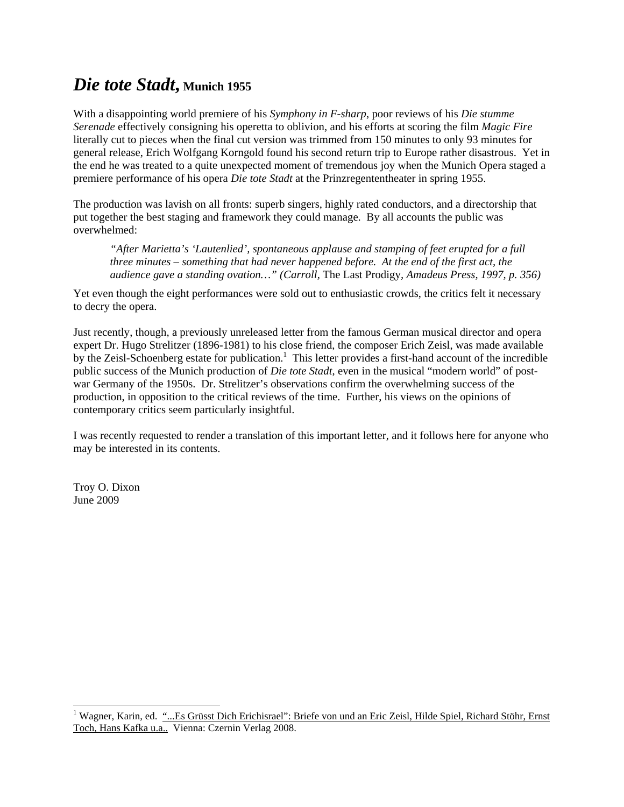## *Die tote Stadt***, Munich 1955**

With a disappointing world premiere of his *Symphony in F-sharp*, poor reviews of his *Die stumme Serenade* effectively consigning his operetta to oblivion, and his efforts at scoring the film *Magic Fire* literally cut to pieces when the final cut version was trimmed from 150 minutes to only 93 minutes for general release, Erich Wolfgang Korngold found his second return trip to Europe rather disastrous. Yet in the end he was treated to a quite unexpected moment of tremendous joy when the Munich Opera staged a premiere performance of his opera *Die tote Stadt* at the Prinzregententheater in spring 1955.

The production was lavish on all fronts: superb singers, highly rated conductors, and a directorship that put together the best staging and framework they could manage. By all accounts the public was overwhelmed:

*"After Marietta's 'Lautenlied', spontaneous applause and stamping of feet erupted for a full three minutes – something that had never happened before. At the end of the first act, the audience gave a standing ovation…" (Carroll,* The Last Prodigy*, Amadeus Press, 1997, p. 356)* 

Yet even though the eight performances were sold out to enthusiastic crowds, the critics felt it necessary to decry the opera.

Just recently, though, a previously unreleased letter from the famous German musical director and opera expert Dr. Hugo Strelitzer (1896-1981) to his close friend, the composer Erich Zeisl, was made available by the Zeisl-Schoenberg estate for publication.<sup>1</sup> This letter provides a first-hand account of the incredible public success of the Munich production of *Die tote Stadt*, even in the musical "modern world" of postwar Germany of the 1950s. Dr. Strelitzer's observations confirm the overwhelming success of the production, in opposition to the critical reviews of the time. Further, his views on the opinions of contemporary critics seem particularly insightful.

I was recently requested to render a translation of this important letter, and it follows here for anyone who may be interested in its contents.

Troy O. Dixon June 2009

 1 Wagner, Karin, ed. "...Es Grüsst Dich Erichisrael": Briefe von und an Eric Zeisl, Hilde Spiel, Richard Stöhr, Ernst Toch, Hans Kafka u.a.. Vienna: Czernin Verlag 2008.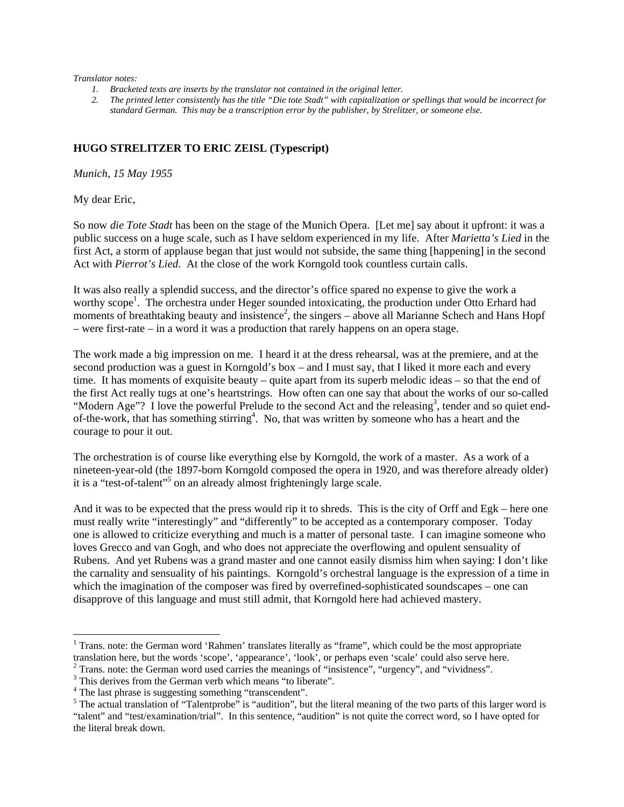## *Translator notes:*

- *1. Bracketed texts are inserts by the translator not contained in the original letter.*
- *2. The printed letter consistently has the title "Die tote Stadt" with capitalization or spellings that would be incorrect for standard German. This may be a transcription error by the publisher, by Strelitzer, or someone else.*

## **HUGO STRELITZER TO ERIC ZEISL (Typescript)**

*Munich, 15 May 1955* 

My dear Eric,

1

So now *die Tote Stadt* has been on the stage of the Munich Opera. [Let me] say about it upfront: it was a public success on a huge scale, such as I have seldom experienced in my life. After *Marietta's Lied* in the first Act, a storm of applause began that just would not subside, the same thing [happening] in the second Act with *Pierrot's Lied*. At the close of the work Korngold took countless curtain calls.

It was also really a splendid success, and the director's office spared no expense to give the work a worthy scope<sup>1</sup>. The orchestra under Heger sounded intoxicating, the production under Otto Erhard had moments of breathtaking beauty and insistence<sup>2</sup>, the singers – above all Marianne Schech and Hans Hopf – were first-rate – in a word it was a production that rarely happens on an opera stage.

The work made a big impression on me. I heard it at the dress rehearsal, was at the premiere, and at the second production was a guest in Korngold's box – and I must say, that I liked it more each and every time. It has moments of exquisite beauty – quite apart from its superb melodic ideas – so that the end of the first Act really tugs at one's heartstrings. How often can one say that about the works of our so-called "Modern Age"? I love the powerful Prelude to the second Act and the releasing<sup>3</sup>, tender and so quiet endof-the-work, that has something stirring<sup>4</sup>. No, that was written by someone who has a heart and the courage to pour it out.

The orchestration is of course like everything else by Korngold, the work of a master. As a work of a nineteen-year-old (the 1897-born Korngold composed the opera in 1920, and was therefore already older) it is a "test-of-talent"<sup>5</sup> on an already almost frighteningly large scale.

And it was to be expected that the press would rip it to shreds. This is the city of Orff and Egk – here one must really write "interestingly" and "differently" to be accepted as a contemporary composer. Today one is allowed to criticize everything and much is a matter of personal taste. I can imagine someone who loves Grecco and van Gogh, and who does not appreciate the overflowing and opulent sensuality of Rubens. And yet Rubens was a grand master and one cannot easily dismiss him when saying: I don't like the carnality and sensuality of his paintings. Korngold's orchestral language is the expression of a time in which the imagination of the composer was fired by overrefined-sophisticated soundscapes – one can disapprove of this language and must still admit, that Korngold here had achieved mastery.

<sup>&</sup>lt;sup>1</sup> Trans. note: the German word 'Rahmen' translates literally as "frame", which could be the most appropriate translation here, but the words 'scope', 'appearance', 'look', or perhaps even 'scale' could also serve here. 2  $2$  Trans. note: the German word used carries the meanings of "insistence", "urgency", and "vividness".

<sup>&</sup>lt;sup>3</sup> This derives from the German verb which means "to liberate".

<sup>&</sup>lt;sup>4</sup> The last phrase is suggesting something "transcendent".

 $<sup>5</sup>$  The actual translation of "Talentprobe" is "audition", but the literal meaning of the two parts of this larger word is</sup> "talent" and "test/examination/trial". In this sentence, "audition" is not quite the correct word, so I have opted for the literal break down.